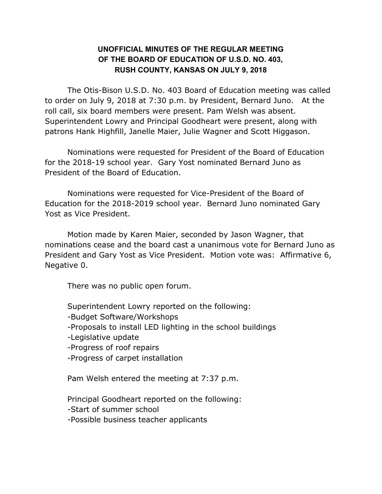## **UNOFFICIAL MINUTES OF THE REGULAR MEETING OF THE BOARD OF EDUCATION OF U.S.D. NO. 403, RUSH COUNTY, KANSAS ON JULY 9, 2018**

The Otis-Bison U.S.D. No. 403 Board of Education meeting was called to order on July 9, 2018 at 7:30 p.m. by President, Bernard Juno. At the roll call, six board members were present. Pam Welsh was absent. Superintendent Lowry and Principal Goodheart were present, along with patrons Hank Highfill, Janelle Maier, Julie Wagner and Scott Higgason.

Nominations were requested for President of the Board of Education for the 2018-19 school year. Gary Yost nominated Bernard Juno as President of the Board of Education.

Nominations were requested for Vice-President of the Board of Education for the 2018-2019 school year. Bernard Juno nominated Gary Yost as Vice President.

Motion made by Karen Maier, seconded by Jason Wagner, that nominations cease and the board cast a unanimous vote for Bernard Juno as President and Gary Yost as Vice President. Motion vote was: Affirmative 6, Negative 0.

There was no public open forum.

Superintendent Lowry reported on the following: -Budget Software/Workshops -Proposals to install LED lighting in the school buildings -Legislative update -Progress of roof repairs -Progress of carpet installation Pam Welsh entered the meeting at 7:37 p.m. Principal Goodheart reported on the following:

-Start of summer school -Possible business teacher applicants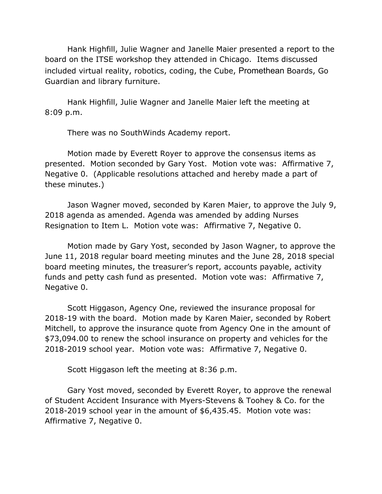Hank Highfill, Julie Wagner and Janelle Maier presented a report to the board on the ITSE workshop they attended in Chicago. Items discussed included virtual reality, robotics, coding, the Cube, Promethean Boards, Go Guardian and library furniture.

Hank Highfill, Julie Wagner and Janelle Maier left the meeting at 8:09 p.m.

There was no SouthWinds Academy report.

Motion made by Everett Royer to approve the consensus items as presented. Motion seconded by Gary Yost. Motion vote was: Affirmative 7, Negative 0. (Applicable resolutions attached and hereby made a part of these minutes.)

Jason Wagner moved, seconded by Karen Maier, to approve the July 9, 2018 agenda as amended. Agenda was amended by adding Nurses Resignation to Item L. Motion vote was: Affirmative 7, Negative 0.

Motion made by Gary Yost, seconded by Jason Wagner, to approve the June 11, 2018 regular board meeting minutes and the June 28, 2018 special board meeting minutes, the treasurer's report, accounts payable, activity funds and petty cash fund as presented. Motion vote was: Affirmative 7, Negative 0.

Scott Higgason, Agency One, reviewed the insurance proposal for 2018-19 with the board. Motion made by Karen Maier, seconded by Robert Mitchell, to approve the insurance quote from Agency One in the amount of \$73,094.00 to renew the school insurance on property and vehicles for the 2018-2019 school year. Motion vote was: Affirmative 7, Negative 0.

Scott Higgason left the meeting at 8:36 p.m.

Gary Yost moved, seconded by Everett Royer, to approve the renewal of Student Accident Insurance with Myers-Stevens & Toohey & Co. for the 2018-2019 school year in the amount of \$6,435.45. Motion vote was: Affirmative 7, Negative 0.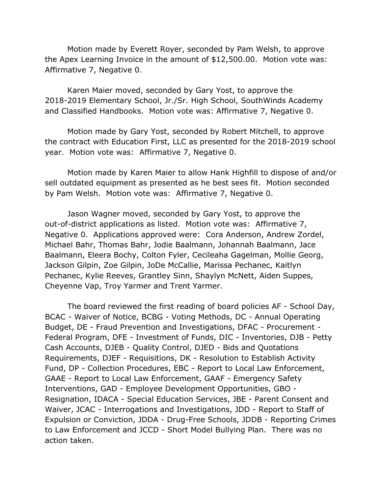Motion made by Everett Royer, seconded by Pam Welsh, to approve the Apex Learning Invoice in the amount of \$12,500.00. Motion vote was: Affirmative 7, Negative 0.

Karen Maier moved, seconded by Gary Yost, to approve the 2018-2019 Elementary School, Jr./Sr. High School, SouthWinds Academy and Classified Handbooks. Motion vote was: Affirmative 7, Negative 0.

Motion made by Gary Yost, seconded by Robert Mitchell, to approve the contract with Education First, LLC as presented for the 2018-2019 school year. Motion vote was: Affirmative 7, Negative 0.

Motion made by Karen Maier to allow Hank Highfill to dispose of and/or sell outdated equipment as presented as he best sees fit. Motion seconded by Pam Welsh. Motion vote was: Affirmative 7, Negative 0.

Jason Wagner moved, seconded by Gary Yost, to approve the out-of-district applications as listed. Motion vote was: Affirmative 7, Negative 0. Applications approved were: Cora Anderson, Andrew Zordel, Michael Bahr, Thomas Bahr, Jodie Baalmann, Johannah Baalmann, Jace Baalmann, Eleera Bochy, Colton Fyler, Cecileaha Gagelman, Mollie Georg, Jackson Gilpin, Zoe Gilpin, JoDe McCallie, Marissa Pechanec, Kaitlyn Pechanec, Kylie Reeves, Grantley Sinn, Shaylyn McNett, Aiden Suppes, Cheyenne Vap, Troy Yarmer and Trent Yarmer.

The board reviewed the first reading of board policies AF - School Day, BCAC - Waiver of Notice, BCBG - Voting Methods, DC - Annual Operating Budget, DE - Fraud Prevention and Investigations, DFAC - Procurement - Federal Program, DFE - Investment of Funds, DIC - Inventories, DJB - Petty Cash Accounts, DJEB - Quality Control, DJED - Bids and Quotations Requirements, DJEF - Requisitions, DK - Resolution to Establish Activity Fund, DP - Collection Procedures, EBC - Report to Local Law Enforcement, GAAE - Report to Local Law Enforcement, GAAF - Emergency Safety Interventions, GAD - Employee Development Opportunities, GBO - Resignation, IDACA - Special Education Services, JBE - Parent Consent and Waiver, JCAC - Interrogations and Investigations, JDD - Report to Staff of Expulsion or Conviction, JDDA - Drug-Free Schools, JDDB - Reporting Crimes to Law Enforcement and JCCD - Short Model Bullying Plan. There was no action taken.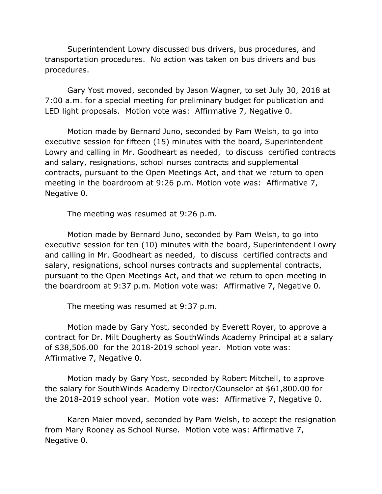Superintendent Lowry discussed bus drivers, bus procedures, and transportation procedures. No action was taken on bus drivers and bus procedures.

Gary Yost moved, seconded by Jason Wagner, to set July 30, 2018 at 7:00 a.m. for a special meeting for preliminary budget for publication and LED light proposals. Motion vote was: Affirmative 7, Negative 0.

Motion made by Bernard Juno, seconded by Pam Welsh, to go into executive session for fifteen (15) minutes with the board, Superintendent Lowry and calling in Mr. Goodheart as needed, to discuss certified contracts and salary, resignations, school nurses contracts and supplemental contracts, pursuant to the Open Meetings Act, and that we return to open meeting in the boardroom at 9:26 p.m. Motion vote was: Affirmative 7, Negative 0.

The meeting was resumed at 9:26 p.m.

Motion made by Bernard Juno, seconded by Pam Welsh, to go into executive session for ten (10) minutes with the board, Superintendent Lowry and calling in Mr. Goodheart as needed, to discuss certified contracts and salary, resignations, school nurses contracts and supplemental contracts, pursuant to the Open Meetings Act, and that we return to open meeting in the boardroom at 9:37 p.m. Motion vote was: Affirmative 7, Negative 0.

The meeting was resumed at 9:37 p.m.

Motion made by Gary Yost, seconded by Everett Royer, to approve a contract for Dr. Milt Dougherty as SouthWinds Academy Principal at a salary of \$38,506.00 for the 2018-2019 school year. Motion vote was: Affirmative 7, Negative 0.

Motion mady by Gary Yost, seconded by Robert Mitchell, to approve the salary for SouthWinds Academy Director/Counselor at \$61,800.00 for the 2018-2019 school year. Motion vote was: Affirmative 7, Negative 0.

Karen Maier moved, seconded by Pam Welsh, to accept the resignation from Mary Rooney as School Nurse. Motion vote was: Affirmative 7, Negative 0.